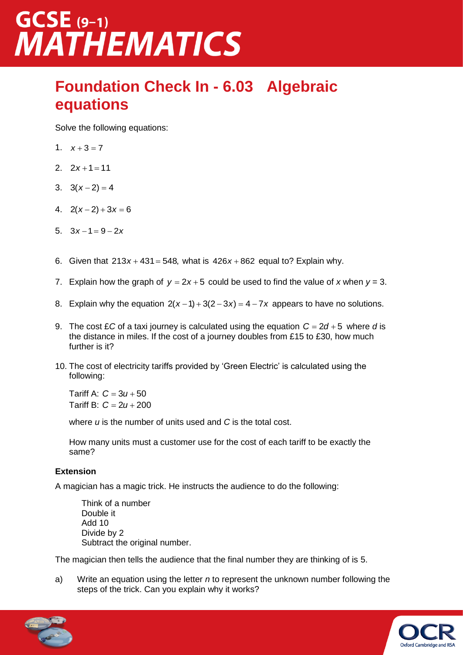### $GCSE$  (9-1) **MATHEMATICS**

#### **Foundation Check In - 6.03 Algebraic equations**

Solve the following equations:

- 1.  $x+3=7$
- 2.  $2x+1=11$
- 3.  $3(x-2) = 4$
- 4.  $2(x-2)+3x=6$
- 5.  $3x-1=9-2x$
- 6. Given that  $213x + 431 = 548$ , what is  $426x + 862$  equal to? Explain why.
- 7. Explain how the graph of  $y = 2x + 5$  could be used to find the value of x when  $y = 3$ .
- 8. Explain why the equation  $2(x-1) + 3(2-3x) = 4-7x$  appears to have no solutions.
- 9. The cost £*C* of a taxi journey is calculated using the equation  $C = 2d + 5$  where d is the distance in miles. If the cost of a journey doubles from £15 to £30, how much further is it?
- 10. The cost of electricity tariffs provided by 'Green Electric' is calculated using the following:

Tariff A:  $C = 3u + 50$ Tariff B:  $C = 2u + 200$ 

where *u* is the number of units used and *C* is the total cost.

How many units must a customer use for the cost of each tariff to be exactly the same?

#### **Extension**

A magician has a magic trick. He instructs the audience to do the following:

Think of a number Double it Add 10 Divide by 2 Subtract the original number.

The magician then tells the audience that the final number they are thinking of is 5.

a) Write an equation using the letter *n* to represent the unknown number following the steps of the trick. Can you explain why it works?



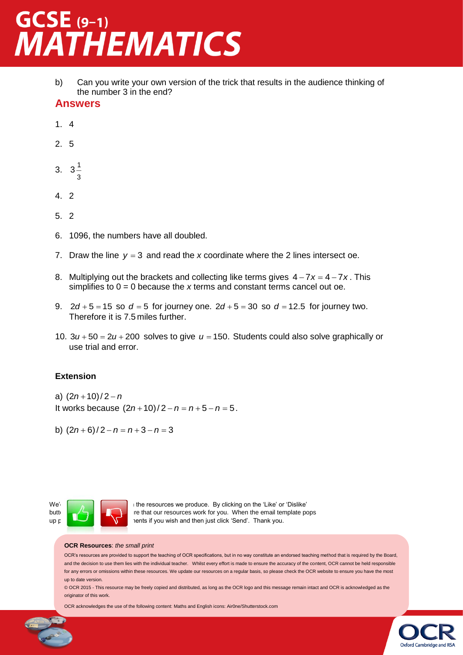# GCSE (9-1)<br>MATHEMATICS

b) Can you write your own version of the trick that results in the audience thinking of the number 3 in the end?

#### **Answers**

- 1. 4
- 2. 5
- 3.  $3\frac{1}{3}$ 1 3
- 4. 2
- 5. 2
- 6. 1096, the numbers have all doubled.
- 7. Draw the line  $y = 3$  and read the x coordinate where the 2 lines intersect oe.
- 8. Multiplying out the brackets and collecting like terms gives  $4 7x = 4 7x$ . This simplifies to 0 = 0 because the *x* terms and constant terms cancel out oe.
- 9.  $2d + 5 = 15$  so  $d = 5$  for journey one.  $2d + 5 = 30$  so  $d = 12.5$  for journey two. Therefore it is 7.5 miles further.
- 10.  $3u + 50 = 2u + 200$  solves to give  $u = 150$ . Students could also solve graphically or use trial and error.

#### **Extension**

a)  $(2n+10)/2 - n$ It works because  $(2n+10)/2 - n = n+5 - n = 5$ .

b)  $(2n+6)/2 - n = n+3 - n = 3$ 



We'd  $\begin{bmatrix} 1 & 1 \end{bmatrix}$  if the resources we produce. By clicking on the 'Like' or 'Dislike' button you. When the email template pops up please and  $\sum$  and and then just click 'Send'. Thank you.

#### **OCR Resources**: *the small print*

OCR's resources are provided to support the teaching of OCR specifications, but in no way constitute an endorsed teaching method that is required by the Board, and the decision to use them lies with the individual teacher. Whilst every effort is made to ensure the accuracy of the content, OCR cannot be held responsible for any errors or omissions within these resources. We update our resources on a regular basis, so please check the OCR website to ensure you have the most up to date version.

© OCR 2015 - This resource may be freely copied and distributed, as long as the OCR logo and this message remain intact and OCR is acknowledged as the originator of this work.

Oxford Cambridge and RSA

OCR acknowledges the use of the following content: Maths and English icons: Air0ne/Shutterstock.com